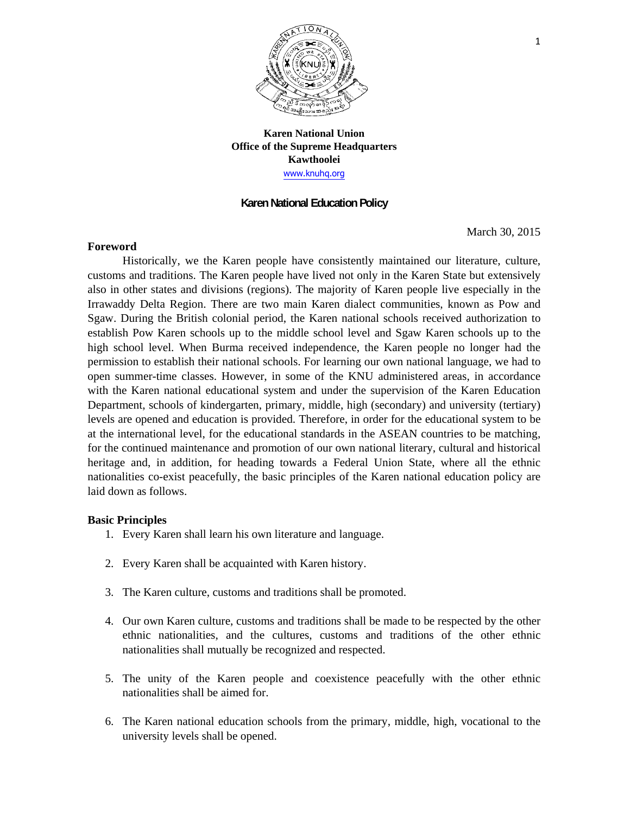

#### **Karen National Union Office of the Supreme Headquarters Kawthoolei** www.knuhq.org

#### **Karen National Education Policy**

March 30, 2015

#### **Foreword**

 Historically, we the Karen people have consistently maintained our literature, culture, customs and traditions. The Karen people have lived not only in the Karen State but extensively also in other states and divisions (regions). The majority of Karen people live especially in the Irrawaddy Delta Region. There are two main Karen dialect communities, known as Pow and Sgaw. During the British colonial period, the Karen national schools received authorization to establish Pow Karen schools up to the middle school level and Sgaw Karen schools up to the high school level. When Burma received independence, the Karen people no longer had the permission to establish their national schools. For learning our own national language, we had to open summer-time classes. However, in some of the KNU administered areas, in accordance with the Karen national educational system and under the supervision of the Karen Education Department, schools of kindergarten, primary, middle, high (secondary) and university (tertiary) levels are opened and education is provided. Therefore, in order for the educational system to be at the international level, for the educational standards in the ASEAN countries to be matching, for the continued maintenance and promotion of our own national literary, cultural and historical heritage and, in addition, for heading towards a Federal Union State, where all the ethnic nationalities co-exist peacefully, the basic principles of the Karen national education policy are laid down as follows.

#### **Basic Principles**

- 1. Every Karen shall learn his own literature and language.
- 2. Every Karen shall be acquainted with Karen history.
- 3. The Karen culture, customs and traditions shall be promoted.
- 4. Our own Karen culture, customs and traditions shall be made to be respected by the other ethnic nationalities, and the cultures, customs and traditions of the other ethnic nationalities shall mutually be recognized and respected.
- 5. The unity of the Karen people and coexistence peacefully with the other ethnic nationalities shall be aimed for.
- 6. The Karen national education schools from the primary, middle, high, vocational to the university levels shall be opened.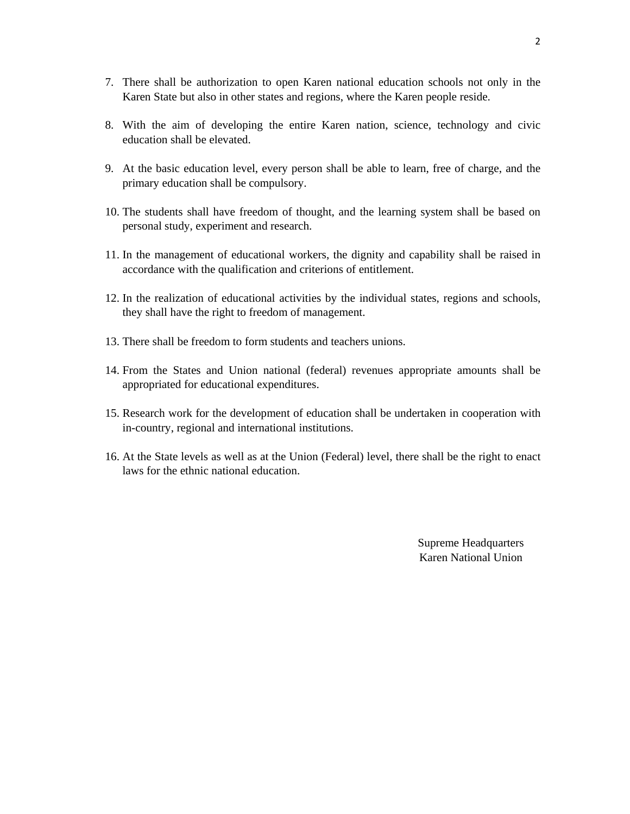- 7. There shall be authorization to open Karen national education schools not only in the Karen State but also in other states and regions, where the Karen people reside.
- 8. With the aim of developing the entire Karen nation, science, technology and civic education shall be elevated.
- 9. At the basic education level, every person shall be able to learn, free of charge, and the primary education shall be compulsory.
- 10. The students shall have freedom of thought, and the learning system shall be based on personal study, experiment and research.
- 11. In the management of educational workers, the dignity and capability shall be raised in accordance with the qualification and criterions of entitlement.
- 12. In the realization of educational activities by the individual states, regions and schools, they shall have the right to freedom of management.
- 13. There shall be freedom to form students and teachers unions.
- 14. From the States and Union national (federal) revenues appropriate amounts shall be appropriated for educational expenditures.
- 15. Research work for the development of education shall be undertaken in cooperation with in-country, regional and international institutions.
- 16. At the State levels as well as at the Union (Federal) level, there shall be the right to enact laws for the ethnic national education.

Supreme Headquarters Karen National Union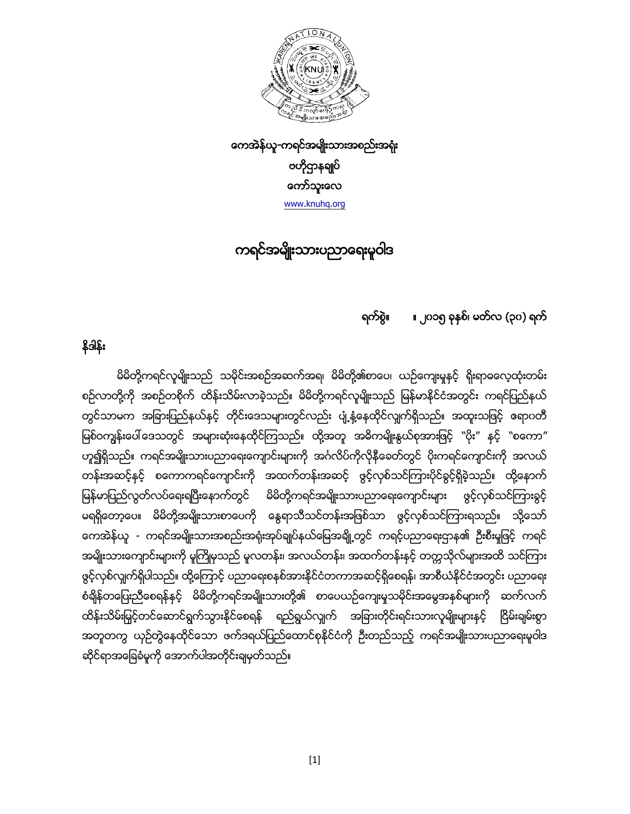



ကရင္အမ်ိဳးသားပညာေရးမူဝါဒ

ရက်စွဲ။ စ ။ ၂၀၁၅ ခုနှစ်၊ မတ်လ (၃၀) ရက်

## နိဒါန္း

မိမိတို့ကရင်လူမျိုးသည် သမိုင်းအစဉ်အဆက်အရ၊ မိမိတို့၏စာပေ၊ ယဉ်ကျေးမှုနှင့် ရိုးရာဓေလ့ထုံးတမ်း စဉ်လာတို့ကို အစဉ်တစိုက် ထိန်းသိမ်းလာခဲ့သည်။ မိမိတို့ကရင်လူမျိုးသည် မြန်မာနိုင်ငံအတွင်း ကရင်ပြည်နယ် တွင်သာမက အခြားပြည်နယ်နှင့် တိုင်းဒေသများတွင်လည်း ပျံ့နှံ့နေထိုင်လျှက်ရှိသည်။ အထူးသဖြင့် ဧရာဂတီ မြစ်ဝကျွန်းပေါ် ဒေသတွင် အများဆုံးနေထိုင်ကြသည်။ ထို့အတူ အဓိကမျိုးနွယ်စုအားဖြင့် "ပိုး" နှင့် "စကော" ဟူ၍ရှိသည်။ ကရင်အမျိုးသားပညာရေးကျောင်းများကို အင်္ဂလိပ်ကိုလိုနီစေတ်တွင် ပိုးကရင်ကျောင်းကို အလယ် တန်းအဆင့်နင့် စကောကရင်ကျောင်းကို အထက်တန်းအဆင့် ဖွင့်လှစ်သင်ကြားပိုင်ခွင့်ရှိခဲ့သည်။ ထို့နောက် မြန်မာပြည်လွတ်လပ်ရေးရပြီးနောက်တွင် မိမိတို့ကရင်အမျိုးသားပညာရေးကျောင်းများ ဖွင့်လှစ်သင်ကြားခွင့် မရရှိတော့ပေ။ မိမိတို့အမျိုးသားစာပေကို နွေရာသီသင်တန်းအဖြစ်သာ ဖွင့်လှစ်သင်ကြားရသည်။ သို့သော် ကေအဲန်ယူ - ကရင်အမျိုးသားအစည်းအရုံးအုပ်ချုပ်နယ်မြေအချို့တွင် ကရင့်ပညာရေးဌာန၏ ဦးစီးမှုဖြင့် ကရင် အမျိုးသားကျောင်းများကို မူကြိုမှသည် မူလတန်း၊ အလယ်တန်း၊ အထက်တန်းနှင့် တက္ကသိုလ်များအထိ သင်ကြား ဖွင့်လှစ်လျှက်ရှိပါသည်။ ထို့ကြောင့် ပညာရေးစနစ်အားနိုင်ငံတကာအဆင့်ရှိစေရန်၊ အာစီယံနိုင်ငံအတွင်း ပညာရေး စံချိန်တပြေးညီစေရန်နှင့် မိမိတို့ကရင်အမျိုးသားတို့၏ စာပေယဉ်ကျေးမှုသမိုင်းအမွေအနှစ်များကို ဆက်လက် ထိန်းသိမ်းမြှင့်တင်ဆောင်ရွက်သွားနိုင်စေရန် ရည်ရွယ်လျှက် အခြားတိုင်းရင်းသားလူမျိုးများနှင့် ငြိမ်းချမ်းစွာ အတူတကွ ယှဉ်တွဲနေထိုင်သော ဖက်ဒရယ်ပြည်ထောင်စုနိုင်ငံကို ဦးတည်သည့် ကရင်အမျိုးသားပညာရေးမူဝါဒ ဆိုင်ရာအခြေခံမူကို အောက်ပါအတိုင်းချမှတ်သည်။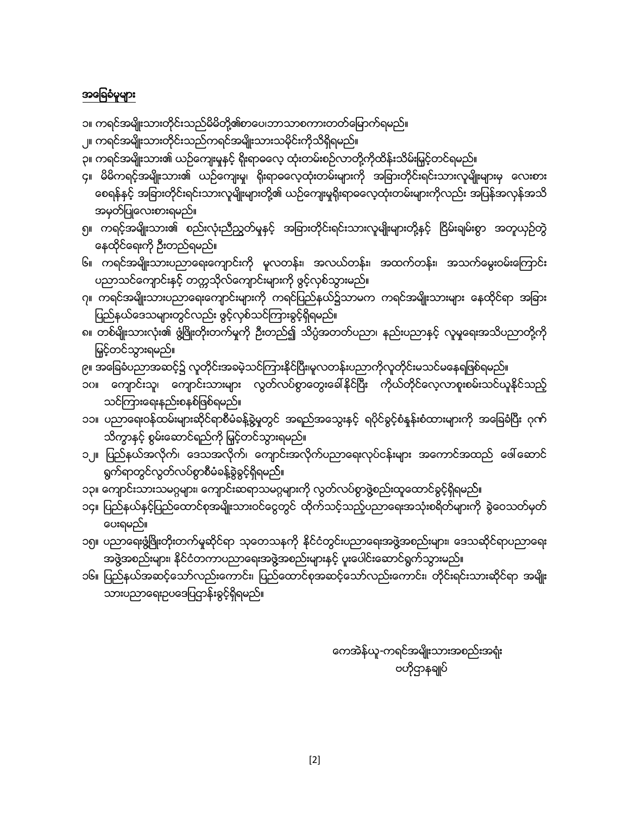### [2]

 ေကအဲန္ယူ-ကရင္အမ်ိဳးသားအစည္းအရံုး ဗဟိုဌာနချုပ်

- အဖွဲ့အစည်းများ၊ နိုင်ငံတကာပညာရေးအဖွဲ့အစည်းများနှင့် ပူးပေါင်းဆောင်ရွက်သွားမည်။ ၁၆။ ပြည်နယ်အဆင့်သော်လည်းကောင်း၊ ပြည်ထောင်စုအဆင့်သော်လည်းကောင်း၊ တိုင်းရင်းသားဆိုင်ရာ အမျိုး သားပညာေရးဥပေဒျပဌာန္းခြင့္ရွိရမည္။
- ေပးရမည္။ ၁၅။ ပညာေရးဖွံ့ဖြိုးတိုးတက်မှုဆိုင်ရာ သုတေသနကို နိုင်ငံတွင်းပညာေရးအဖွဲ့အစည်းများ၊ ဒေသဆိုင်ရာပညာရေး
- ၁၄။ ပြည်နယ်နင့်ပြည်ထောင်စုအမျိုးသားဝင်ငွေတွင် ထိုက်သင့်သည့်ပညာရေးအသုံးစရိတ်များကို ခွဲဝေသတ်မှတ်
- ၁၃။ ကျောင်းသားသမဂ္ဂများ၊ ကျောင်းဆရာသမဂ္ဂများကို လွတ်လပ်စွာဖွဲ့စည်းထူထောင်ခွင့်ရှိရမည်။
- ၁၂။ ပြည်နယ်အလိုက်၊ ဒေသအလိုက်၊ ကျောင်းအလိုက်ပညာရေးလုပ်ငန်းများ အကောင်အထည် ဖေါ်ဆောင် ရွက်ရာတွင်လွတ်လပ်စွာစီမံခန့်ခွဲခွင့်ရှိရမည်။
- သိက္ခာနင့် စွမ်းဆောင်ရည်ကို မြှင့်တင်သွားရမည်။
- သင္ၾကားေရးနည္းစနစ္ျဖစ္ရမည္။ ၁၁။ ပညာရေးဝန်ထမ်းများဆိုင်ရာစီမံခန့်ခွဲမှုတွင် အရည်အသွေးနှင့် ရပိုင်ခွင့်စံနှန်းစံထားများကို အခြေခံပြီး ဂုဏ်
- ၉။ အခြေခံပညာအဆင့်၌ လူတိုင်းအခမဲ့သင်ကြားနိုင်ပြီး၊မူလတန်းပညာကိုလူတိုင်းမသင်မနေရဖြစ်ရမည်။ –<br>၁၀။ ကျောင်းသူ၊ ကျောင်းသားများ လွတ်လပ်စွာတွေးခေါ်နိုင်ပြီး ကိုယ်တိုင်လေ့လာစူးစမ်းသင်ယူနိုင်သည့်
- ၈။ တစ်မျိုးသားလုံး၏ ဖွံဖြိုးတိုးတက်မှုကို ဦးတည်၍ သိပ္ပံအတတ်ပညာ၊ နည်းပညာနှင့် လူမှုရေးအသိပညာတို့ကို ျမွင့္တင္သြားရမည္။
- ဂု။ ကရင်အမျိုးသားပညာရေးကျောင်းများကို ကရင်ပြည်နယ်၌သာမက ကရင်အမျိုးသားများ နေထိုင်ရာ အခြား ပြည်နယ်ဒေသများတွင်လည်း ဖွင့်လှစ်သင်ကြားခွင့်ရှိရမည်။
- ၆။ ကရင်အမျိုးသားပညာေရးကျောင်းကို မူလတန်း၊ အလယ်တန်း၊ အထက်တန်း၊ အသက်မွေးဝမ်းကြောင်း ပညာသင်ကျောင်းနှင့် တက္ကသိုလ်ကျောင်းများကို ဖွင့်လှစ်သွားမည်။
- ေနထိုင္ေရးကိုဦးတည္ရမည္။
- အမွတ္ျပဳေလးစားရမည္။ ၅။ ကရင့်အမျိုးသား၏ စည်းလုံးညီညွှတ်မှုနှင့် အခြားတိုင်းရင်းသားလူမျိုးများတို့နှင့် ငြိမ်းချမ်းစွာ အတူယှဉ်တွဲ
- ၄။ မိမိကရင့်အမျိုးသား၏ ယဉ်ကျေးမှု၊ ရိုးရာဓလေ့ထုံးတမ်းများကို အခြားတိုင်းရင်းသားလူမျိုးများမှ လေးစား စေရန်နှင့် အခြားတိုင်းရင်းသားလူမျိုးများတို့၏ ယဉ်ကျေးမှုရိုးရာဓလေ့ထုံးတမ်းများကိုလည်း အပြန်အလှန်အသိ
- ၃။ ကရင်အမျိုးသား၏ ယဉ်ကျေးမှုနှင့် ရိုးရာဓလေ့ ထုံးတမ်းစဉ်လာတို့ကိုထိန်းသိမ်းမြှင့်တင်ရမည်။
- 
- 
- 
- ၂။ ကရင်အမျိုးသားတိုင်းသည်ကရင်အမျိုးသားသမိုင်းကိုသိရှိရမည်။
- အခြေခံမူများ ၁။ ကရင္အမ်ိဳးသားတိုင္းသည္မိမိတို႔၏စာေပ၊ဘာသာစကားတတ္ေျမာက္ရမည္။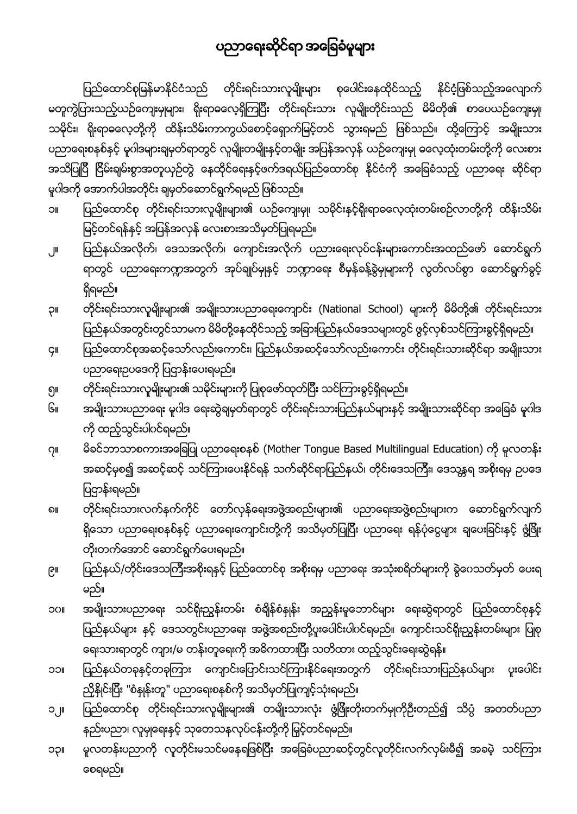# ပညာရေးဆိုင်ရာ အခြေခံမူများ

ပြည်ထောင်စုမြန်မာနိုင်ငံသည် တိုင်းရင်းသားလူမျိုးများ စုပေါင်းနေထိုင်သည့် နိုင်ငံ့ဖြစ်သည့်အလျောက် မတူကွဲပြားသည့်ယဉ်ကျေးမှုများ၊ ရိုးရာဓလေ့ရှိကြပြီး တိုင်းရင်းသား လူမျိုးတိုင်းသည် မိမိတို၏ စာပေယဉ်ကျေးမှု၊ သမိုင်း၊ ရိုးရာဓလေ့တို့ကို ထိန်းသိမ်းကာကွယ်စောင့်ရှောက်မြင့်တင် သွားရမည် ဖြစ်သည်။ ထို့ကြောင့် အမျိုးသား ပညာရေးစနစ်နှင့် မူဂါဒများချမှတ်ရာတွင် လူမျိုးတမျိုးနှင့်တမျိုး အပြန်အလှန် ယဉ်ကျေးမှု ဓလေ့ထုံးတမ်းတို့ကို လေးစား အသိပြုပြီ ငြိမ်းချမ်းစွာအတူယှဉ်တွဲ နေထိုင်ရေးနှင့်ဖက်ဒရယ်ပြည်ထောင်စု နိုင်ငံကို အခြေခံသည့် ပညာရေး ဆိုင်ရာ မူဂါဒကို အောက်ပါအတိုင်း ချမှတ်ဆောင်ရွက်ရမည် ဖြစ်သည်။

- ၁။ ျပည်ထောင်စု တိုင်းရင်းသားလူမျိုးများ၏ ယဉ်ကျေးမှု၊ သမိုင်းနှင့်ရိုးရာဓေလ့ထုံးတမ်းစဉ်လာတို့ကို ထိန်းသိမ်း မြင့်တင်ရန်နှင့် အပြန်အလှန် လေးစားအသိမှတ်ပြုရမည်။
- ၂။ ပြည်နယ်အလိုက်၊ ဒေသအလိုက်၊ ကျောင်းအလိုက် ပညားရေးလုပ်ငန်းများကောင်းအထည်ဖော် ဆောင်ရွက် ရာတွင် ပညာရေးကဏ္ဍအတွက် အုပ်ချုပ်မှုနှင့် ဘဏ္ဍာရေး စီမှန်ခန့်ခွဲမှုများကို လွတ်လပ်စွာ ဆောင်ရွက်ခွင့် ရွိရမည္။
- ၃။ တိုင်းရင်းသားလူမျိုးများ၏ အမျိုးသားပညာရေးကျောင်း (National School) များကို မိမိတို့၏ တိုင်းရင်းသား ပြည်နယ်အတွင်းတွင်သာမက မိမိတို့နေထိုင်သည့် အခြားပြည်နယ်ဒေသများတွင် ဖွင့်လှစ်သင်ကြားခွင့်ရှိရမည်။
- ၄။ ျပည္ေထာင္စုအဆင့္ေသာ္လည္းေကာင္း၊ ျပည္နယ္အဆင့္ေသာ္လည္းေကာင္း တိုင္းရင္းသားဆိုင္ရာ အမ်ိဳးသား ပညာေရးဥပေဒကို ျပဌာန္းေပးရမည္။
- ၅။ တိုင်းရင်းသားလူမျိုးများ၏ သမိုင်းများကို ပြုစုဖော်ထုတ်ပြီး သင်ကြားခွင့်ရှိရမည်။
- ၆။ အမျိုးသားပညာရေး မူဂါဒ ရေးဆွဲချမှတ်ရာတွင် တိုင်းရင်းသားပြည်နယ်များနှင့် အမျိုးသားဆိုင်ရာ အခြေခံ မူဂါဒ ကို ထည့်သွင်းပါဂင်ရမည်။
- ၇။ မိခင္ဘာသာစကားအေျချပဳ ပညာေရးစနစ္(Mother Tongue Based Multilingual Education) ကို မူလတန္း အဆင့်မှစ၍ အဆင့်ဆင့် သင်ကြားပေးနိုင်ရန် သက်ဆိုင်ရာပြည်နယ်၊ တိုင်းဒေသကြီး၊ ဒေသန္တရ အစိုးရမှ ဥပဒေ ျပဌာန္းရမည္။
- ၈။ တိုင်းရင်းသားလက်နက်ကိုင် တော်လှန်ရေးအဖွဲ့အစည်းများ၏ ပညာရေးအဖွဲ့စည်းများက ေဆာင်ရွက်လျက် ရှိသော ပညာရေးစနစ်နှင့် ပညာရေးကျောင်းတို့ကို အသိမှတ်ပြုပြီး ပညာရေး ရန်ပုံငွေများ ချပေးခြင်းနှင့် ဖွံ့ဖြိုး တိုးတက္ေအာင္ေဆာင္ရြက္ေပးရမည္။
- ၉။ ပြည်နယ်/တိုင်းဒေသကြီးအစိုးရနှင့် ပြည်ထောင်စု အစိုးရမှ ပညာရေး အသုံးစရိတ်များကို ခွဲဂေသတ်မှတ် ပေးရ မည္။
- ၁၀။ အမျိုးသားပညာေရး သင်ရိုးညွန်းတမ်း စံချိန်စံနှုန်း အညွှန်းမူဘောင်များ ရေးဆွဲရာတွင် ပြည်ထောင်စုနှင့် ပြည်နယ်များ နှင့် ဒေသတွင်းပညာရေး အဖွဲ့အစည်းတို့ပူးပေါင်းပါဂင်ရမည်။ ကျောင်းသင်ရိုးညွှန်းတမ်းများ ပြုစု ရေးသားရာတွင် ကျား/မ တန်းတူေရးကို အဓိကထားပြီး သတိထား ထည့်သွင်းရေးဆွဲရန်။
- ၁၁။ ပြည်နယ်တခုနှင့်တခုကြား ကျောင်းပြောင်းသင်ကြားနိုင်ရေးအတွက် တိုင်းရင်းသားပြည်နယ်များ ပူးပေါင်း ညှိနှိုင်းပြီး "စံနှုန်းတူ" ပညာရေးစနစ်ကို အသိမှတ်ပြုကျင့်သုံးရမည်။
- ၁၂။ ပြည်ထောင်စု တိုင်းရင်းသားလူမျိုးများ၏ တမျိုးသားလုံး ဖွံ့ဖြိုးတိုးတက်မှုကိုဦးတည်၍ သိပ္ပံ အတတ်ပညာ နည်းပညာ၊ လူမှုရေးနှင့် သုတေသနလုပ်ငန်းတို့ကို မြှင့်တင်ရမည်။
- ၁၃။ မူလတန်းပညာကို လူတိုင်းမသင်မနေရဖြစ်ပြီး အခြေခံပညာဆင့်တွင်လူတိုင်းလက်လှမ်းမီ၍ အခမဲ့ သင်ကြား ေစရမည္။